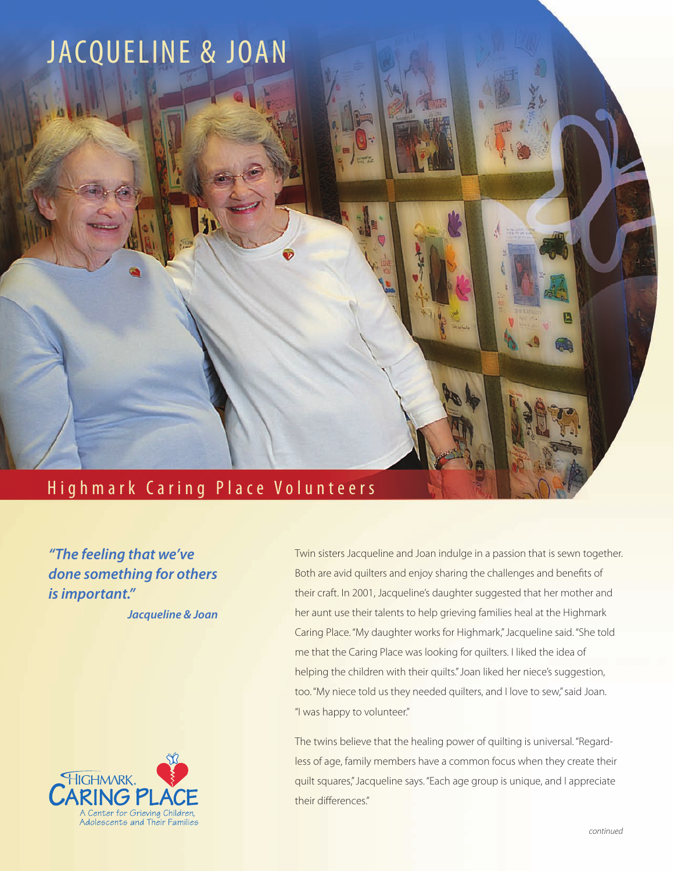

*"The feeling that we've done something for others is important." Jacqueline & Joan*



Twin sisters Jacqueline and Joan indulge in a passion that is sewn together. Both are avid quilters and enjoy sharing the challenges and benefits of their craft. In 2001, Jacqueline's daughter suggested that her mother and her aunt use their talents to help grieving families heal at the Highmark Caring Place. "My daughter works for Highmark," Jacqueline said. "She told me that the Caring Place was looking for quilters. I liked the idea of helping the children with their quilts." Joan liked her niece's suggestion, too. "My niece told us they needed quilters, and I love to sew," said Joan. "I was happy to volunteer."

The twins believe that the healing power of quilting is universal. "Regardless of age, family members have a common focus when they create their quilt squares," Jacqueline says. "Each age group is unique, and I appreciate their differences."